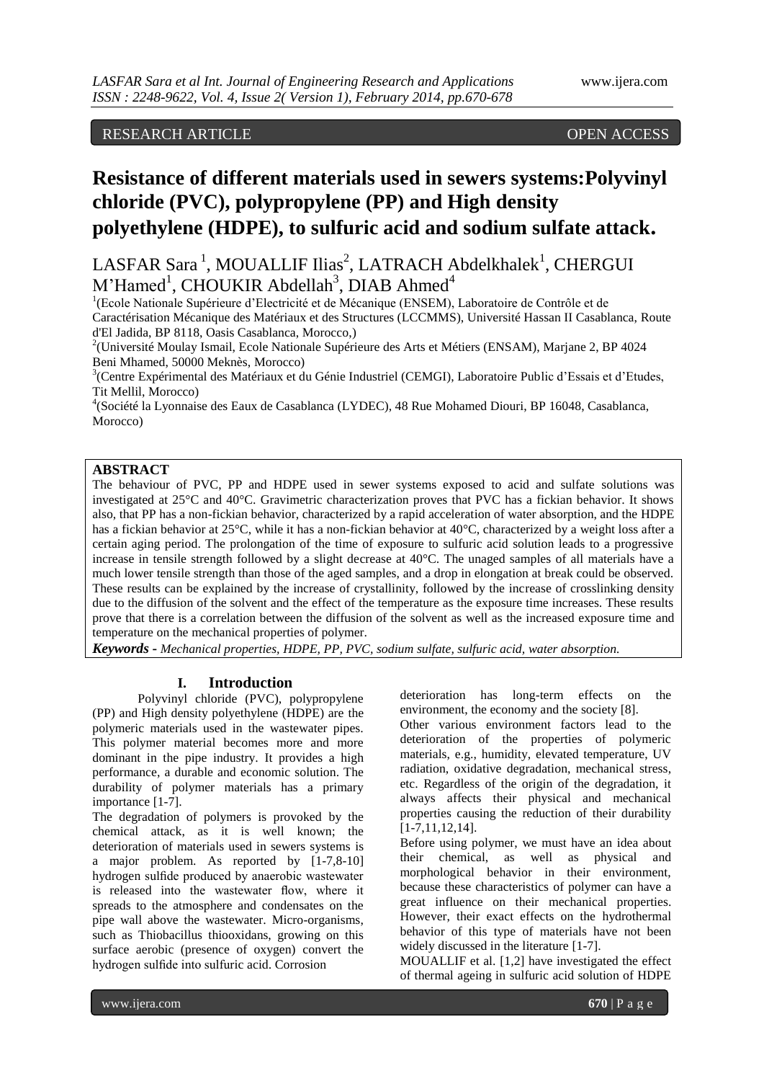# RESEARCH ARTICLE **CONSERVERS**

# **Resistance of different materials used in sewers systems:Polyvinyl chloride (PVC), polypropylene (PP) and High density polyethylene (HDPE), to sulfuric acid and sodium sulfate attack.**

LASFAR Sara<sup>1</sup>, MOUALLIF Ilias<sup>2</sup>, LATRACH Abdelkhalek<sup>1</sup>, CHERGUI  $M'Hamed<sup>1</sup>$ , CHOUKIR Abdellah<sup>3</sup>, DIAB Ahmed<sup>4</sup>

<sup>1</sup>(Ecole Nationale Supérieure d'Electricité et de Mécanique (ENSEM), Laboratoire de Contrôle et de Caractérisation Mécanique des Matériaux et des Structures (LCCMMS), Université Hassan II Casablanca, Route d'El Jadida, BP 8118, Oasis Casablanca, Morocco,)

<sup>2</sup>(Université Moulay Ismail, Ecole Nationale Supérieure des Arts et Métiers (ENSAM), Marjane 2, BP 4024 Beni Mhamed, 50000 Meknès, Morocco)

<sup>3</sup>(Centre Expérimental des Matériaux et du Génie Industriel (CEMGI), Laboratoire Public d'Essais et d'Etudes, Tit Mellil, Morocco)

4 (Société la Lyonnaise des Eaux de Casablanca (LYDEC), 48 Rue Mohamed Diouri, BP 16048, Casablanca, Morocco)

## **ABSTRACT**

The behaviour of PVC, PP and HDPE used in sewer systems exposed to acid and sulfate solutions was investigated at 25°C and 40°C. Gravimetric characterization proves that PVC has a fickian behavior. It shows also, that PP has a non-fickian behavior, characterized by a rapid acceleration of water absorption, and the HDPE has a fickian behavior at 25°C, while it has a non-fickian behavior at 40°C, characterized by a weight loss after a certain aging period. The prolongation of the time of exposure to sulfuric acid solution leads to a progressive increase in tensile strength followed by a slight decrease at 40°C. The unaged samples of all materials have a much lower tensile strength than those of the aged samples, and a drop in elongation at break could be observed. These results can be explained by the increase of crystallinity, followed by the increase of crosslinking density due to the diffusion of the solvent and the effect of the temperature as the exposure time increases. These results prove that there is a correlation between the diffusion of the solvent as well as the increased exposure time and temperature on the mechanical properties of polymer.

*Keywords* **-** *Mechanical properties, HDPE, PP, PVC, sodium sulfate, sulfuric acid, water absorption.*

## **I. Introduction**

Polyvinyl chloride (PVC), polypropylene (PP) and High density polyethylene (HDPE) are the polymeric materials used in the wastewater pipes. This polymer material becomes more and more dominant in the pipe industry. It provides a high performance, a durable and economic solution. The durability of polymer materials has a primary importance [1-7].

The degradation of polymers is provoked by the chemical attack, as it is well known; the deterioration of materials used in sewers systems is a major problem. As reported by [1-7,8-10] hydrogen sulfide produced by anaerobic wastewater is released into the wastewater flow, where it spreads to the atmosphere and condensates on the pipe wall above the wastewater. Micro-organisms, such as Thiobacillus thiooxidans, growing on this surface aerobic (presence of oxygen) convert the hydrogen sulfide into sulfuric acid. Corrosion

deterioration has long-term effects on the environment, the economy and the society [8].

Other various environment factors lead to the deterioration of the properties of polymeric materials, e.g., humidity, elevated temperature, UV radiation, oxidative degradation, mechanical stress, etc. Regardless of the origin of the degradation, it always affects their physical and mechanical properties causing the reduction of their durability [1-7,11,12,14].

Before using polymer, we must have an idea about their chemical, as well as physical and morphological behavior in their environment, because these characteristics of polymer can have a great influence on their mechanical properties. However, their exact effects on the hydrothermal behavior of this type of materials have not been widely discussed in the literature [1-7].

MOUALLIF et al. [1,2] have investigated the effect of thermal ageing in sulfuric acid solution of HDPE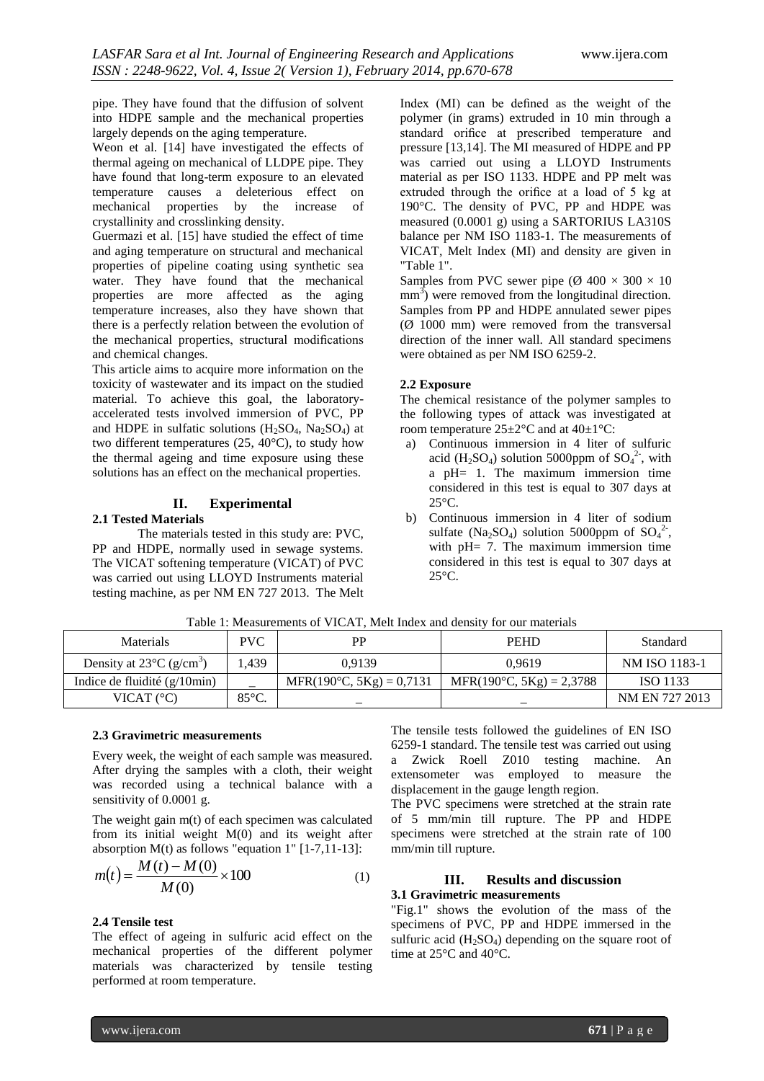pipe. They have found that the diffusion of solvent into HDPE sample and the mechanical properties largely depends on the aging temperature.

Weon et al. [14] have investigated the effects of thermal ageing on mechanical of LLDPE pipe. They have found that long-term exposure to an elevated temperature causes a deleterious effect on mechanical properties by the increase of crystallinity and crosslinking density.

Guermazi et al. [15] have studied the effect of time and aging temperature on structural and mechanical properties of pipeline coating using synthetic sea water. They have found that the mechanical properties are more affected as the aging temperature increases, also they have shown that there is a perfectly relation between the evolution of the mechanical properties, structural modifications and chemical changes.

This article aims to acquire more information on the toxicity of wastewater and its impact on the studied material. To achieve this goal, the laboratoryaccelerated tests involved immersion of PVC, PP and HDPE in sulfatic solutions  $(H_2SO_4, Na_2SO_4)$  at two different temperatures (25, 40°C), to study how the thermal ageing and time exposure using these solutions has an effect on the mechanical properties.

# **II. Experimental**

## **2.1 Tested Materials**

The materials tested in this study are: PVC, PP and HDPE, normally used in sewage systems. The VICAT softening temperature (VICAT) of PVC was carried out using LLOYD Instruments material testing machine, as per NM EN 727 2013. The Melt Index (MI) can be defined as the weight of the polymer (in grams) extruded in 10 min through a standard orifice at prescribed temperature and pressure [13,14]. The MI measured of HDPE and PP was carried out using a LLOYD Instruments material as per ISO 1133. HDPE and PP melt was extruded through the orifice at a load of 5 kg at 190°C. The density of PVC, PP and HDPE was measured (0.0001 g) using a SARTORIUS LA310S balance per NM ISO 1183-1. The measurements of VICAT, Melt Index (MI) and density are given in "Table 1".

Samples from PVC sewer pipe ( $\varnothing$  400  $\times$  300  $\times$  10  $mm<sup>3</sup>$ ) were removed from the longitudinal direction. Samples from PP and HDPE annulated sewer pipes  $(\emptyset$  1000 mm) were removed from the transversal direction of the inner wall. All standard specimens were obtained as per NM ISO 6259-2.

## **2.2 Exposure**

The chemical resistance of the polymer samples to the following types of attack was investigated at room temperature  $25 \pm 2^{\circ}$ C and at  $40 \pm 1^{\circ}$ C:

- a) Continuous immersion in 4 liter of sulfuric acid (H<sub>2</sub>SO<sub>4</sub>) solution 5000ppm of  $SO_4^2$ <sup>2</sup>, with a pH= 1. The maximum immersion time considered in this test is equal to 307 days at 25°C.
- b) Continuous immersion in 4 liter of sodium sulfate (Na<sub>2</sub>SO<sub>4</sub>) solution 5000ppm of  $SO_4^2$ <sup>2</sup>, with pH= 7. The maximum immersion time considered in this test is equal to 307 days at 25°C.

| Tuble 1. Measurements of victing men much and density for our materials |                 |                                   |                                    |                |  |  |  |  |  |  |  |
|-------------------------------------------------------------------------|-----------------|-----------------------------------|------------------------------------|----------------|--|--|--|--|--|--|--|
| <b>Materials</b>                                                        | <b>PVC</b>      | РP                                | <b>PEHD</b>                        | Standard       |  |  |  |  |  |  |  |
| Density at $23^{\circ}$ C (g/cm <sup>3</sup> )<br>.439                  |                 | 0.9139                            | 0.9619                             | NM ISO 1183-1  |  |  |  |  |  |  |  |
| Indice de fluidité $(g/10min)$                                          |                 | $MFR(190^{\circ}C, 5Kg) = 0,7131$ | MFR(190 $\degree$ C, 5Kg) = 2,3788 | ISO 1133       |  |  |  |  |  |  |  |
| VICAT $(^{\circ}C)$                                                     | $85^{\circ}$ C. |                                   |                                    | NM EN 727 2013 |  |  |  |  |  |  |  |

Table 1: Measurements of VICAT, Melt Index and density for our materials

#### **2.3 Gravimetric measurements**

Every week, the weight of each sample was measured. After drying the samples with a cloth, their weight was recorded using a technical balance with a sensitivity of 0.0001 g.

The weight gain m(t) of each specimen was calculated from its initial weight  $M(0)$  and its weight after absorption  $M(t)$  as follows "equation 1" [1-7,11-13]:

$$
m(t) = \frac{M(t) - M(0)}{M(0)} \times 100
$$
 (1)

#### **2.4 Tensile test**

The effect of ageing in sulfuric acid effect on the mechanical properties of the different polymer materials was characterized by tensile testing performed at room temperature.

The tensile tests followed the guidelines of EN ISO 6259-1 standard. The tensile test was carried out using a Zwick Roell Z010 testing machine. An extensometer was employed to measure the displacement in the gauge length region.

The PVC specimens were stretched at the strain rate of 5 mm/min till rupture. The PP and HDPE specimens were stretched at the strain rate of 100 mm/min till rupture.

### **III. Results and discussion 3.1 Gravimetric measurements**

"Fig.1" shows the evolution of the mass of the specimens of PVC, PP and HDPE immersed in the sulfuric acid  $(H_2SO_4)$  depending on the square root of time at 25°C and 40°C.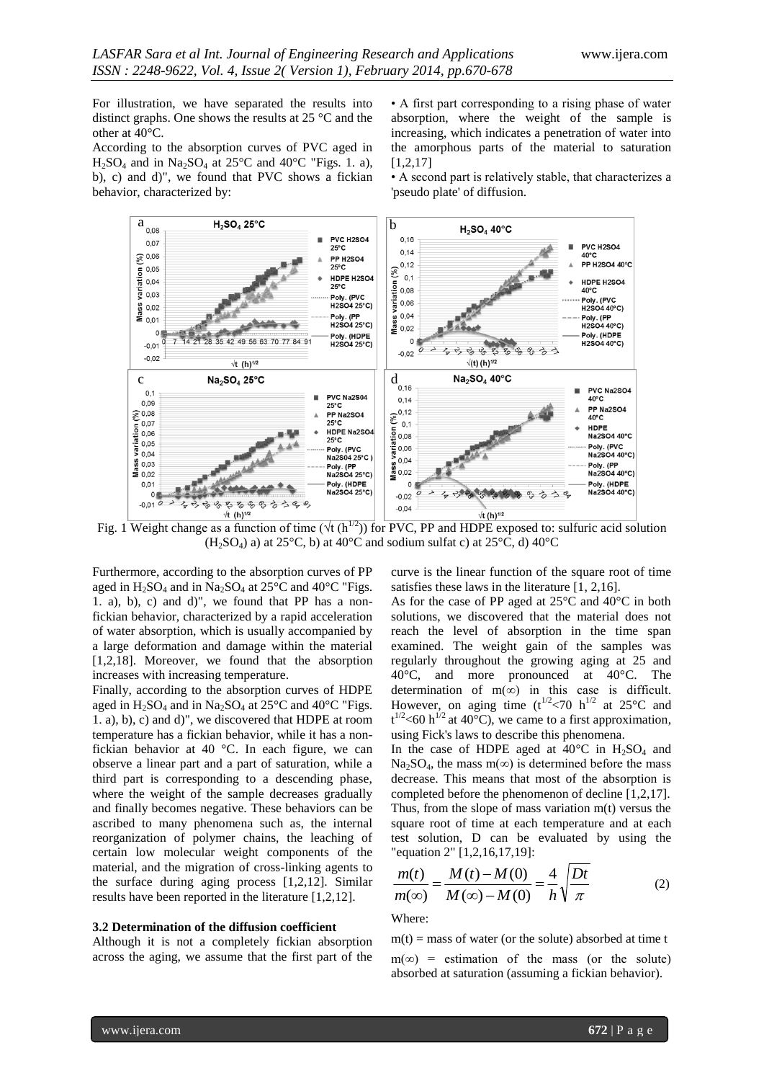For illustration, we have separated the results into distinct graphs. One shows the results at 25 °C and the other at 40°C.

According to the absorption curves of PVC aged in  $H_2SO_4$  and in Na<sub>2</sub>SO<sub>4</sub> at 25<sup>o</sup>C and 40<sup>o</sup>C "Figs. 1. a), b), c) and d)", we found that PVC shows a fickian behavior, characterized by:

• A first part corresponding to a rising phase of water absorption, where the weight of the sample is increasing, which indicates a penetration of water into the amorphous parts of the material to saturation [1,2,17]

• A second part is relatively stable, that characterizes a 'pseudo plate' of diffusion.



 $(H<sub>2</sub>SO<sub>4</sub>)$  a) at 25°C, b) at 40°C and sodium sulfat c) at 25°C, d) 40°C

Furthermore, according to the absorption curves of PP aged in  $H_2SO_4$  and in Na<sub>2</sub>SO<sub>4</sub> at 25<sup>o</sup>C and 40<sup>o</sup>C "Figs. 1. a), b), c) and d)", we found that PP has a nonfickian behavior, characterized by a rapid acceleration of water absorption, which is usually accompanied by a large deformation and damage within the material [1,2,18]. Moreover, we found that the absorption increases with increasing temperature.

Finally, according to the absorption curves of HDPE aged in  $H_2SO_4$  and in  $Na_2SO_4$  at 25°C and 40°C "Figs. 1. a), b), c) and d)", we discovered that HDPE at room temperature has a fickian behavior, while it has a nonfickian behavior at 40 °C. In each figure, we can observe a linear part and a part of saturation, while a third part is corresponding to a descending phase, where the weight of the sample decreases gradually and finally becomes negative. These behaviors can be ascribed to many phenomena such as, the internal reorganization of polymer chains, the leaching of certain low molecular weight components of the material, and the migration of cross-linking agents to the surface during aging process [1,2,12]. Similar results have been reported in the literature [1,2,12].

#### **3.2 Determination of the diffusion coefficient**

Although it is not a completely fickian absorption across the aging, we assume that the first part of the curve is the linear function of the square root of time satisfies these laws in the literature [1, 2,16].

As for the case of PP aged at 25°C and 40°C in both solutions, we discovered that the material does not reach the level of absorption in the time span examined. The weight gain of the samples was regularly throughout the growing aging at 25 and 40°C, and more pronounced at 40°C. The determination of m( $\infty$ ) in this case is difficult. However, on aging time  $(t^{1/2}$ <70 h<sup>1/2</sup> at 25°C and  $t^{1/2}$  <60 h<sup>1/2</sup> at 40°C), we came to a first approximation, using Fick's laws to describe this phenomena.

In the case of HDPE aged at  $40^{\circ}$ C in H<sub>2</sub>SO<sub>4</sub> and Na<sub>2</sub>SO<sub>4</sub>, the mass m(∞) is determined before the mass decrease. This means that most of the absorption is completed before the phenomenon of decline [1,2,17]. Thus, from the slope of mass variation m(t) versus the square root of time at each temperature and at each test solution, D can be evaluated by using the "equation 2" [1,2,16,17,19]:

$$
\frac{m(t)}{m(\infty)} = \frac{M(t) - M(0)}{M(\infty) - M(0)} = \frac{4}{h} \sqrt{\frac{Dt}{\pi}}
$$
(2)

#### Where:

 $m(t)$  = mass of water (or the solute) absorbed at time t  $m(\infty)$  = estimation of the mass (or the solute) absorbed at saturation (assuming a fickian behavior).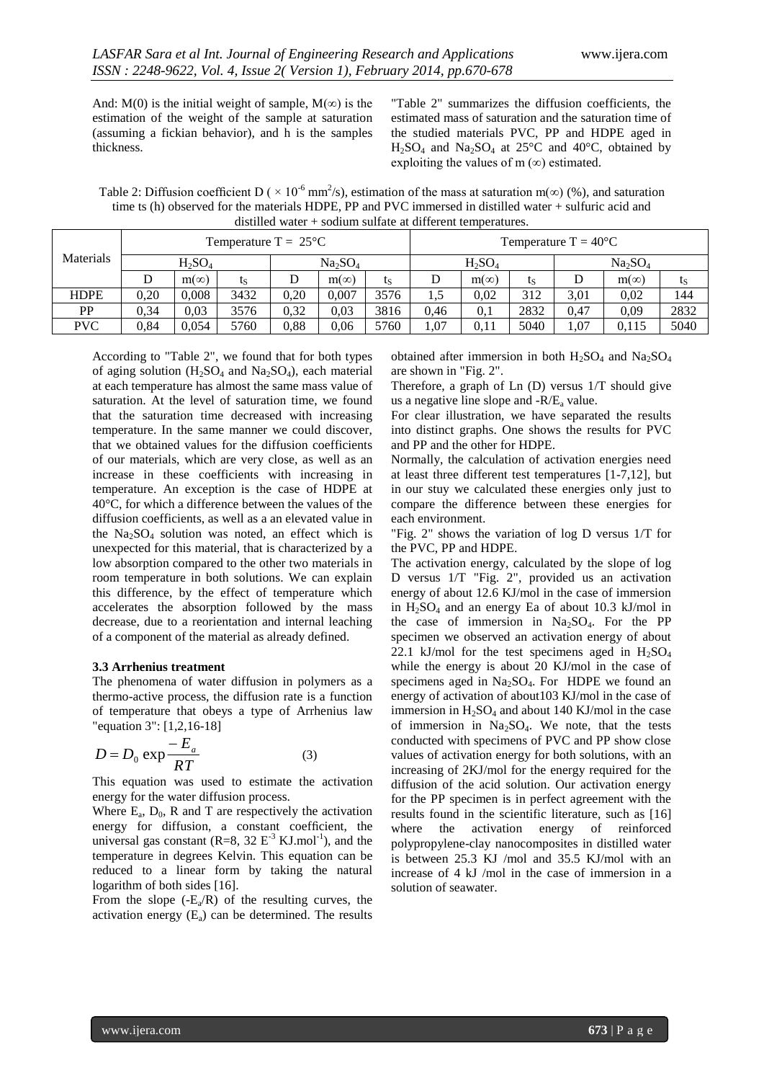And: M(0) is the initial weight of sample, M( $\infty$ ) is the estimation of the weight of the sample at saturation (assuming a fickian behavior), and h is the samples thickness.

"Table 2" summarizes the diffusion coefficients, the estimated mass of saturation and the saturation time of the studied materials PVC, PP and HDPE aged in  $H<sub>2</sub>SO<sub>4</sub>$  and Na<sub>2</sub>SO<sub>4</sub> at 25<sup>°</sup>C and 40<sup>°</sup>C, obtained by exploiting the values of m  $(\infty)$  estimated.

Table 2: Diffusion coefficient D (  $\times$  10<sup>-6</sup> mm<sup>2</sup>/s), estimation of the mass at saturation m( $\infty$ ) (%), and saturation time ts (h) observed for the materials HDPE, PP and PVC immersed in distilled water + sulfuric acid and distilled water + sodium sulfate at different temperatures.

| Materials   | Temperature $T = 25^{\circ}C$ |             |                                 |      |             | Temperature $T = 40^{\circ}C$ |                                 |             |      |      |             |      |
|-------------|-------------------------------|-------------|---------------------------------|------|-------------|-------------------------------|---------------------------------|-------------|------|------|-------------|------|
|             | $H_2SO_4$                     |             | Na <sub>2</sub> SO <sub>4</sub> |      | $H_2SO_4$   |                               | Na <sub>2</sub> SO <sub>4</sub> |             |      |      |             |      |
|             |                               | $m(\infty)$ | ις                              | D    | $m(\infty)$ | ts                            |                                 | $m(\infty)$ | ις   |      | $m(\infty)$ | ις   |
| <b>HDPE</b> | 0.20                          | 0.008       | 3432                            | 0.20 | 0.007       | 3576                          | 1.5                             | 0.02        | 312  | 3,01 | 0.02        | 144  |
| PP          | 0.34                          | 0.03        | 3576                            | 0.32 | 0.03        | 3816                          | 0.46                            | 0,1         | 2832 | 0.47 | 0.09        | 2832 |
| <b>PVC</b>  | 0,84                          | 0.054       | 5760                            | 0,88 | 0,06        | 5760                          | 1,07                            | 0.11        | 5040 | 1,07 | 0.115       | 5040 |

According to "Table 2", we found that for both types of aging solution  $(H_2SO_4)$  and  $Na_2SO_4$ ), each material at each temperature has almost the same mass value of saturation. At the level of saturation time, we found that the saturation time decreased with increasing temperature. In the same manner we could discover, that we obtained values for the diffusion coefficients of our materials, which are very close, as well as an increase in these coefficients with increasing in temperature. An exception is the case of HDPE at 40°C, for which a difference between the values of the diffusion coefficients, as well as a an elevated value in the  $Na<sub>2</sub>SO<sub>4</sub>$  solution was noted, an effect which is unexpected for this material, that is characterized by a low absorption compared to the other two materials in room temperature in both solutions. We can explain this difference, by the effect of temperature which accelerates the absorption followed by the mass decrease, due to a reorientation and internal leaching of a component of the material as already defined.

#### **3.3 Arrhenius treatment**

The phenomena of water diffusion in polymers as a thermo-active process, the diffusion rate is a function of temperature that obeys a type of Arrhenius law "equation 3": [1,2,16-18]

$$
D = D_0 \exp \frac{-E_a}{RT}
$$
 (3)

This equation was used to estimate the activation energy for the water diffusion process.

Where  $E_a$ ,  $D_0$ , R and T are respectively the activation energy for diffusion, a constant coefficient, the universal gas constant  $(R=8, 32 \mathrm{E}^{-3} \mathrm{KJ.mol}^{-1})$ , and the temperature in degrees Kelvin. This equation can be reduced to a linear form by taking the natural logarithm of both sides [16].

From the slope  $(-E_a/R)$  of the resulting curves, the activation energy  $(E_a)$  can be determined. The results

obtained after immersion in both  $H_2SO_4$  and  $Na_2SO_4$ are shown in "Fig. 2".

Therefore, a graph of Ln (D) versus 1/T should give us a negative line slope and  $-R/E<sub>a</sub>$  value.

For clear illustration, we have separated the results into distinct graphs. One shows the results for PVC and PP and the other for HDPE.

Normally, the calculation of activation energies need at least three different test temperatures [1-7,12], but in our stuy we calculated these energies only just to compare the difference between these energies for each environment.

"Fig. 2" shows the variation of log D versus 1/T for the PVC, PP and HDPE.

The activation energy, calculated by the slope of log D versus 1/T "Fig. 2", provided us an activation energy of about 12.6 KJ/mol in the case of immersion in  $H_2SO_4$  and an energy Ea of about 10.3 kJ/mol in the case of immersion in  $Na<sub>2</sub>SO<sub>4</sub>$ . For the PP specimen we observed an activation energy of about 22.1 kJ/mol for the test specimens aged in  $H_2SO_4$ while the energy is about 20 KJ/mol in the case of specimens aged in  $Na<sub>2</sub>SO<sub>4</sub>$ . For HDPE we found an energy of activation of about103 KJ/mol in the case of immersion in  $H_2SO_4$  and about 140 KJ/mol in the case of immersion in  $Na<sub>2</sub>SO<sub>4</sub>$ . We note, that the tests conducted with specimens of PVC and PP show close values of activation energy for both solutions, with an increasing of 2KJ/mol for the energy required for the diffusion of the acid solution. Our activation energy for the PP specimen is in perfect agreement with the results found in the scientific literature, such as [16] where the activation energy of reinforced polypropylene-clay nanocomposites in distilled water is between 25.3 KJ /mol and 35.5 KJ/mol with an increase of 4 kJ /mol in the case of immersion in a solution of seawater.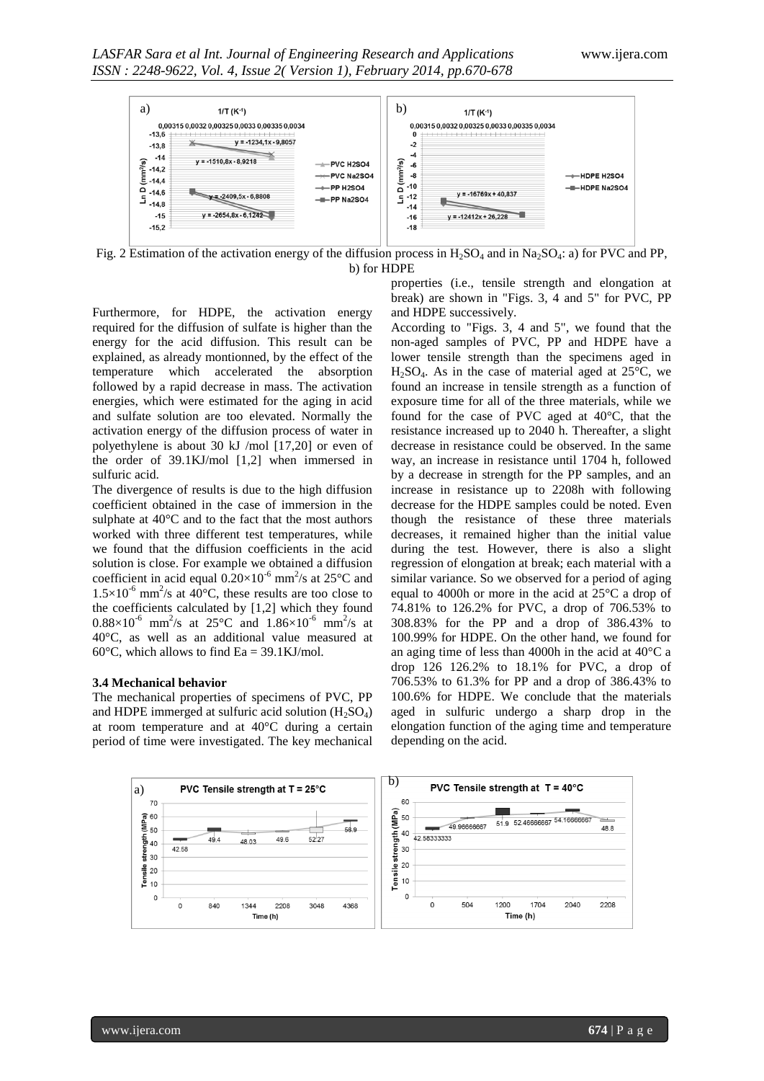

Fig. 2 Estimation of the activation energy of the diffusion process in  $H_2SO_4$  and in Na<sub>2</sub>SO<sub>4</sub>: a) for PVC and PP, b) for HDPE

Furthermore, for HDPE, the activation energy required for the diffusion of sulfate is higher than the energy for the acid diffusion. This result can be explained, as already montionned, by the effect of the temperature which accelerated the absorption followed by a rapid decrease in mass. The activation energies, which were estimated for the aging in acid and sulfate solution are too elevated. Normally the activation energy of the diffusion process of water in polyethylene is about 30 kJ /mol [17,20] or even of the order of 39.1KJ/mol [1,2] when immersed in sulfuric acid.

The divergence of results is due to the high diffusion coefficient obtained in the case of immersion in the sulphate at 40°C and to the fact that the most authors worked with three different test temperatures, while we found that the diffusion coefficients in the acid solution is close. For example we obtained a diffusion coefficient in acid equal  $0.20 \times 10^{-6}$  mm<sup>2</sup>/s at 25 °C and  $1.5 \times 10^{-6}$  mm<sup>2</sup>/s at 40<sup>o</sup>C, these results are too close to the coefficients calculated by [1,2] which they found  $0.88 \times 10^{-6}$  mm<sup>2</sup>/s at 25°C and 1.86×10<sup>-6</sup> mm<sup>2</sup>/s at 40°C, as well as an additional value measured at 60 $\degree$ C, which allows to find Ea = 39.1KJ/mol.

#### **3.4 Mechanical behavior**

The mechanical properties of specimens of PVC, PP and HDPE immerged at sulfuric acid solution  $(H_2SO_4)$ at room temperature and at 40°C during a certain period of time were investigated. The key mechanical properties (i.e., tensile strength and elongation at break) are shown in "Figs. 3, 4 and 5" for PVC, PP and HDPE successively.

According to "Figs. 3, 4 and 5", we found that the non-aged samples of PVC, PP and HDPE have a lower tensile strength than the specimens aged in  $H<sub>2</sub>SO<sub>4</sub>$ . As in the case of material aged at 25 $^{\circ}$ C, we found an increase in tensile strength as a function of exposure time for all of the three materials, while we found for the case of PVC aged at 40°C, that the resistance increased up to 2040 h. Thereafter, a slight decrease in resistance could be observed. In the same way, an increase in resistance until 1704 h, followed by a decrease in strength for the PP samples, and an increase in resistance up to 2208h with following decrease for the HDPE samples could be noted. Even though the resistance of these three materials decreases, it remained higher than the initial value during the test. However, there is also a slight regression of elongation at break; each material with a similar variance. So we observed for a period of aging equal to 4000h or more in the acid at 25°C a drop of 74.81% to 126.2% for PVC, a drop of 706.53% to 308.83% for the PP and a drop of 386.43% to 100.99% for HDPE. On the other hand, we found for an aging time of less than 4000h in the acid at 40°C a drop 126 126.2% to 18.1% for PVC, a drop of 706.53% to 61.3% for PP and a drop of 386.43% to 100.6% for HDPE. We conclude that the materials aged in sulfuric undergo a sharp drop in the elongation function of the aging time and temperature depending on the acid.

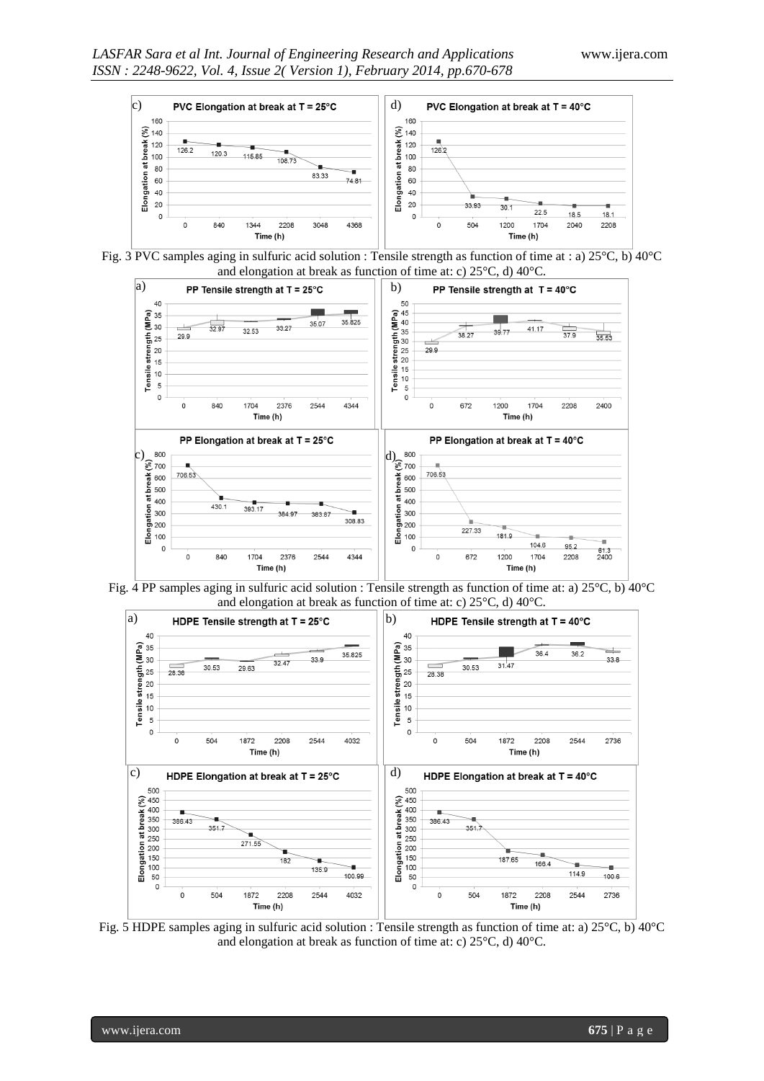

Fig. 3 PVC samples aging in sulfuric acid solution : Tensile strength as function of time at : a) 25°C, b) 40°C and elongation at break as function of time at: c) 25°C, d) 40°C.



Fig. 4 PP samples aging in sulfuric acid solution : Tensile strength as function of time at: a) 25°C, b) 40°C and elongation at break as function of time at: c) 25°C, d) 40°C.



Fig. 5 HDPE samples aging in sulfuric acid solution : Tensile strength as function of time at: a)  $25^{\circ}$ C, b)  $40^{\circ}$ C and elongation at break as function of time at: c) 25°C, d) 40°C.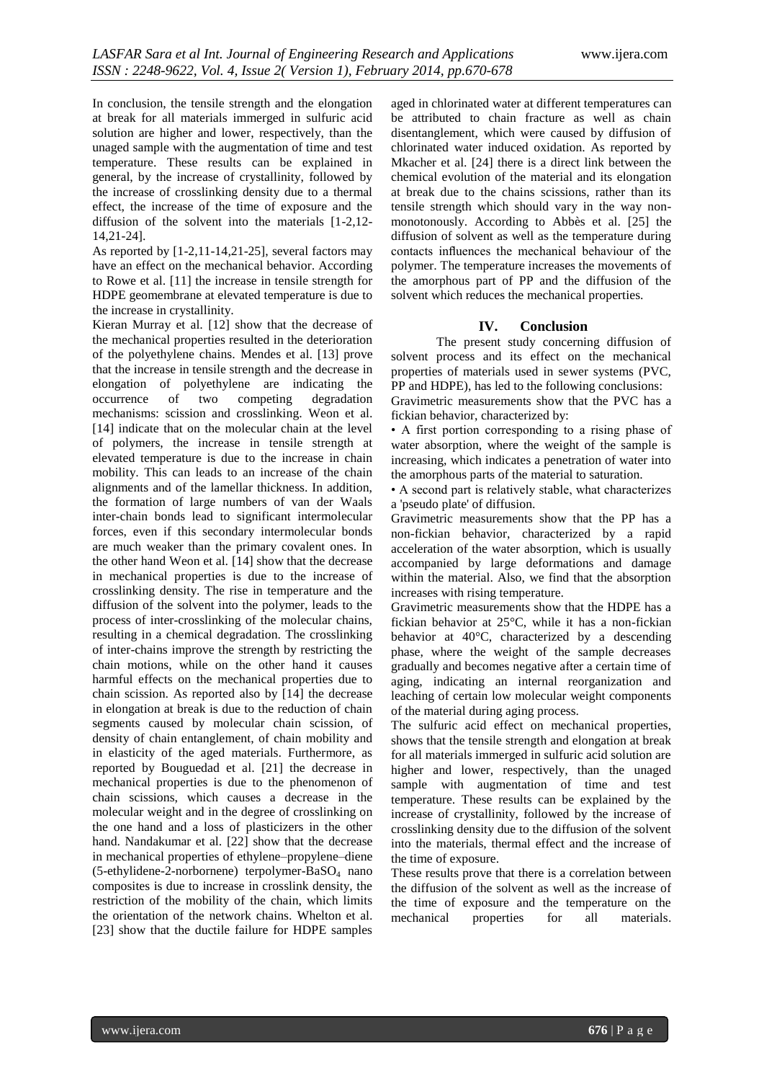In conclusion, the tensile strength and the elongation at break for all materials immerged in sulfuric acid solution are higher and lower, respectively, than the unaged sample with the augmentation of time and test temperature. These results can be explained in general, by the increase of crystallinity, followed by the increase of crosslinking density due to a thermal effect, the increase of the time of exposure and the diffusion of the solvent into the materials [1-2,12- 14,21-24].

As reported by [1-2,11-14,21-25], several factors may have an effect on the mechanical behavior. According to Rowe et al. [11] the increase in tensile strength for HDPE geomembrane at elevated temperature is due to the increase in crystallinity.

Kieran Murray et al. [12] show that the decrease of the mechanical properties resulted in the deterioration of the polyethylene chains. Mendes et al. [13] prove that the increase in tensile strength and the decrease in elongation of polyethylene are indicating the occurrence of two competing degradation mechanisms: scission and crosslinking. Weon et al. [14] indicate that on the molecular chain at the level of polymers, the increase in tensile strength at elevated temperature is due to the increase in chain mobility. This can leads to an increase of the chain alignments and of the lamellar thickness. In addition, the formation of large numbers of van der Waals inter-chain bonds lead to significant intermolecular forces, even if this secondary intermolecular bonds are much weaker than the primary covalent ones. In the other hand Weon et al. [14] show that the decrease in mechanical properties is due to the increase of crosslinking density. The rise in temperature and the diffusion of the solvent into the polymer, leads to the process of inter-crosslinking of the molecular chains, resulting in a chemical degradation. The crosslinking of inter-chains improve the strength by restricting the chain motions, while on the other hand it causes harmful effects on the mechanical properties due to chain scission. As reported also by [14] the decrease in elongation at break is due to the reduction of chain segments caused by molecular chain scission, of density of chain entanglement, of chain mobility and in elasticity of the aged materials. Furthermore, as reported by Bouguedad et al. [21] the decrease in mechanical properties is due to the phenomenon of chain scissions, which causes a decrease in the molecular weight and in the degree of crosslinking on the one hand and a loss of plasticizers in the other hand. Nandakumar et al. [22] show that the decrease in mechanical properties of ethylene–propylene–diene (5-ethylidene-2-norbornene) terpolymer-BaSO<sup>4</sup> nano composites is due to increase in crosslink density, the restriction of the mobility of the chain, which limits the orientation of the network chains. Whelton et al. [23] show that the ductile failure for HDPE samples

aged in chlorinated water at different temperatures can be attributed to chain fracture as well as chain disentanglement, which were caused by diffusion of chlorinated water induced oxidation. As reported by Mkacher et al. [24] there is a direct link between the chemical evolution of the material and its elongation at break due to the chains scissions, rather than its tensile strength which should vary in the way nonmonotonously. According to Abbès et al. [25] the diffusion of solvent as well as the temperature during contacts influences the mechanical behaviour of the polymer. The temperature increases the movements of the amorphous part of PP and the diffusion of the solvent which reduces the mechanical properties.

## **IV. Conclusion**

The present study concerning diffusion of solvent process and its effect on the mechanical properties of materials used in sewer systems (PVC, PP and HDPE), has led to the following conclusions:

Gravimetric measurements show that the PVC has a fickian behavior, characterized by:

• A first portion corresponding to a rising phase of water absorption, where the weight of the sample is increasing, which indicates a penetration of water into the amorphous parts of the material to saturation.

• A second part is relatively stable, what characterizes a 'pseudo plate' of diffusion.

Gravimetric measurements show that the PP has a non-fickian behavior, characterized by a rapid acceleration of the water absorption, which is usually accompanied by large deformations and damage within the material. Also, we find that the absorption increases with rising temperature.

Gravimetric measurements show that the HDPE has a fickian behavior at 25°C, while it has a non-fickian behavior at 40°C, characterized by a descending phase, where the weight of the sample decreases gradually and becomes negative after a certain time of aging, indicating an internal reorganization and leaching of certain low molecular weight components of the material during aging process.

The sulfuric acid effect on mechanical properties, shows that the tensile strength and elongation at break for all materials immerged in sulfuric acid solution are higher and lower, respectively, than the unaged sample with augmentation of time and test temperature. These results can be explained by the increase of crystallinity, followed by the increase of crosslinking density due to the diffusion of the solvent into the materials, thermal effect and the increase of the time of exposure.

These results prove that there is a correlation between the diffusion of the solvent as well as the increase of the time of exposure and the temperature on the mechanical properties for all materials.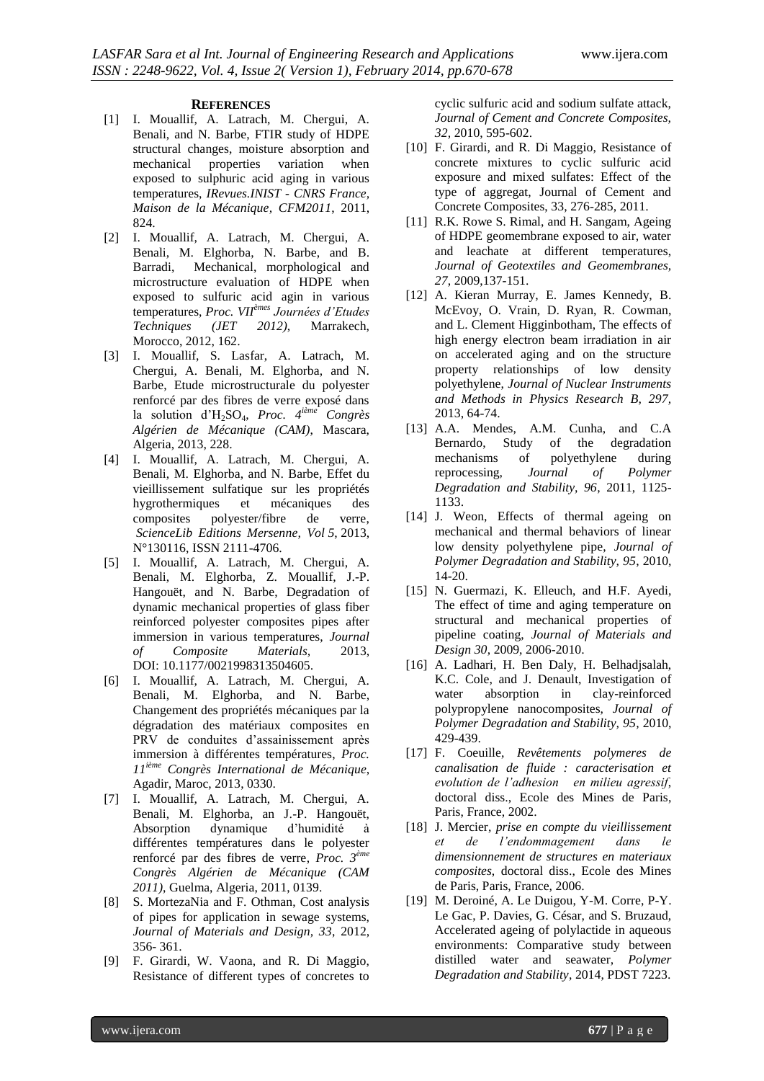### **REFERENCES**

- [1] I. Mouallif, A. Latrach, M. Chergui, A. Benali, and N. Barbe, FTIR study of HDPE structural changes, moisture absorption and mechanical properties variation when exposed to sulphuric acid aging in various temperatures, *IRevues.INIST - CNRS France, Maison de la Mécanique, CFM2011*, 2011, 824.
- [2] I. Mouallif, A. Latrach, M. Chergui, A. Benali, M. Elghorba, N. Barbe, and B. Barradi, Mechanical, morphological and microstructure evaluation of HDPE when exposed to sulfuric acid agin in various temperatures, *Proc. VIIèmes Journées d'Etudes Techniques (JET 2012)*, Marrakech, Morocco, 2012, 162.
- [3] I. Mouallif, S. Lasfar, A. Latrach, M. Chergui, A. Benali, M. Elghorba, and N. Barbe, Etude microstructurale du polyester renforcé par des fibres de verre exposé dans la solution d'H2SO4, *Proc. 4 ième Congrès Algérien de Mécanique (CAM)*, Mascara, Algeria, 2013, 228.
- [4] I. Mouallif, A. Latrach, M. Chergui, A. Benali, M. Elghorba, and N. Barbe, Effet du vieillissement sulfatique sur les propriétés hygrothermiques et mécaniques des composites polyester/fibre de verre, *ScienceLib Editions Mersenne, Vol 5*, 2013, N°130116, ISSN 2111-4706.
- [5] I. Mouallif, A. Latrach, M. Chergui, A. Benali, M. Elghorba, Z. Mouallif, J.-P. Hangouët, and N. Barbe, Degradation of dynamic mechanical properties of glass fiber reinforced polyester composites pipes after immersion in various temperatures, *Journal of Composite Materials,* 2013, DOI: 10.1177/0021998313504605.
- [6] I. Mouallif, A. Latrach, M. Chergui, A. Benali, M. Elghorba, and N. Barbe, Changement des propriétés mécaniques par la dégradation des matériaux composites en PRV de conduites d'assainissement après immersion à différentes températures, *Proc. 11ième Congrès International de Mécanique*, Agadir, Maroc, 2013, 0330.
- [7] I. Mouallif, A. Latrach, M. Chergui, A. Benali, M. Elghorba, an J.-P. Hangouët, Absorption dynamique d'humidité à différentes températures dans le polyester renforcé par des fibres de verre, *Proc. 3 ème Congrès Algérien de Mécanique (CAM 2011)*, Guelma, Algeria, 2011, 0139.
- [8] S. MortezaNia and F. Othman, Cost analysis of pipes for application in sewage systems, *Journal of Materials and Design, 33*, 2012, 356- 361.
- [9] F. Girardi, W. Vaona, and R. Di Maggio, Resistance of different types of concretes to

cyclic sulfuric acid and sodium sulfate attack, *Journal of Cement and Concrete Composites, 32,* 2010, 595-602.

- [10] F. Girardi, and R. Di Maggio, Resistance of concrete mixtures to cyclic sulfuric acid exposure and mixed sulfates: Effect of the type of aggregat, Journal of Cement and Concrete Composites, 33, 276-285, 2011.
- [11] R.K. Rowe S. Rimal, and H. Sangam, Ageing of HDPE geomembrane exposed to air, water and leachate at different temperatures, *Journal of Geotextiles and Geomembranes, 27*, 2009,137-151.
- [12] A. Kieran Murray, E. James Kennedy, B. McEvoy, O. Vrain, D. Ryan, R. Cowman, and L. Clement Higginbotham, The effects of high energy electron beam irradiation in air on accelerated aging and on the structure property relationships of low density polyethylene, *Journal of Nuclear Instruments and Methods in Physics Research B, 297,* 2013, 64-74.
- [13] A.A. Mendes, A.M. Cunha, and C.A Bernardo, Study of the degradation mechanisms of polyethylene during reprocessing, *Journal of Polymer Degradation and Stability, 96*, 2011, 1125- 1133.
- [14] J. Weon, Effects of thermal ageing on mechanical and thermal behaviors of linear low density polyethylene pipe, *Journal of Polymer Degradation and Stability, 95*, 2010, 14-20.
- [15] N. Guermazi, K. Elleuch, and H.F. Ayedi, The effect of time and aging temperature on structural and mechanical properties of pipeline coating, *Journal of Materials and Design 30*, 2009, 2006-2010.
- [16] A. Ladhari, H. Ben Daly, H. Belhadjsalah, K.C. Cole, and J. Denault, Investigation of water absorption in clay-reinforced polypropylene nanocomposites, *Journal of Polymer Degradation and Stability, 95,* 2010, 429-439.
- [17] F. Coeuille, *Revêtements polymeres de canalisation de fluide : caracterisation et evolution de l'adhesion en milieu agressif*, doctoral diss., Ecole des Mines de Paris, Paris, France, 2002.
- [18] J. Mercier, *prise en compte du vieillissement et de l'endommagement dans le dimensionnement de structures en materiaux composites*, doctoral diss., Ecole des Mines de Paris, Paris, France, 2006.
- [19] M. Deroiné, A. Le Duigou, Y-M. Corre, P-Y. Le Gac, P. Davies, G. César, and S. Bruzaud, Accelerated ageing of polylactide in aqueous environments: Comparative study between distilled water and seawater, *Polymer Degradation and Stability*, 2014, PDST 7223.